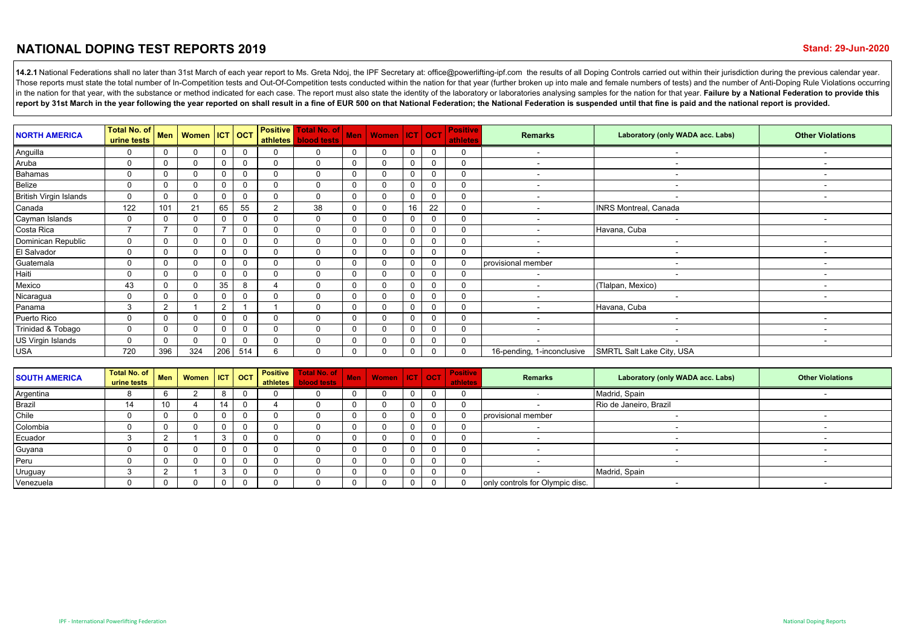## **NATIONAL DOPING TEST REPORTS 2019**

14.2.1 National Federations shall no later than 31st March of each year report to Ms. Greta Ndoj, the IPF Secretary at: office@powerlifting-ipf.com the results of all Doping Controls carried out within their jurisdiction d Those reports must state the total number of In-Competition tests and Out-Of-Competition tests conducted within the nation for that year (further broken up into male and female numbers of tests) and the number of Anti-Dopi in the nation for that year, with the substance or method indicated for each case. The report must also state the identity of the laboratory or laboratories analysing samples for the nation for that year. Failure by a Nati report by 31st March in the vear following the vear reported on shall result in a fine of EUR 500 on that National Federation: the National Federation is suspended until that fine is paid and the national report is provide

| <b>NORTH AMERICA</b>          | Total No. of<br>urine tests |                | Men   Women   ICT   OCT |                          |          |                | <b>Positive   Total No. of  </b><br>athletes blood tests | <b>Men</b> | Women ICT OCT |          |          | <b>Positive</b><br>athletes | <b>Remarks</b>             | Laboratory (only WADA acc. Labs) | <b>Other Violations</b>  |
|-------------------------------|-----------------------------|----------------|-------------------------|--------------------------|----------|----------------|----------------------------------------------------------|------------|---------------|----------|----------|-----------------------------|----------------------------|----------------------------------|--------------------------|
| Anguilla                      |                             | $\Omega$       |                         | 0                        | $\Omega$ | $\mathbf{0}$   | $\Omega$                                                 |            |               | $\Omega$ |          | 0                           |                            |                                  |                          |
| Aruba                         | $\Omega$                    | $\Omega$       |                         | 0                        | $\Omega$ | $\mathbf{0}$   | $\Omega$                                                 |            |               |          |          | $\mathbf 0$                 | $\overline{\phantom{a}}$   | $\sim$                           |                          |
| <b>Bahamas</b>                | 0                           | $\Omega$       |                         | 0                        | $\Omega$ | 0              | $\Omega$                                                 |            | $\Omega$      |          |          | 0                           | $\sim$                     | $\sim$                           |                          |
| Belize                        | 0                           | $\Omega$       |                         | 0                        | $\Omega$ | 0              | $\Omega$                                                 |            | 0             |          |          | 0                           | $\overline{\phantom{0}}$   | $\sim$                           | $\overline{\phantom{a}}$ |
| <b>British Virgin Islands</b> |                             | $\Omega$       |                         | 0                        |          | $\Omega$       | $\Omega$                                                 |            |               |          |          | 0                           |                            |                                  |                          |
| Canada                        | 122                         | 101            | 21                      | 65                       | 55       | $\overline{2}$ | 38                                                       |            | $\Omega$      | 16       | 22       | $\Omega$                    |                            | <b>INRS Montreal, Canada</b>     |                          |
| Cayman Islands                | $\Omega$                    | $\Omega$       |                         | 0                        | $\Omega$ | $\mathbf 0$    | $\Omega$                                                 |            | $\Omega$      |          |          | $\mathbf 0$                 | $\overline{\phantom{a}}$   |                                  |                          |
| Costa Rica                    | -                           | $\overline{7}$ | $\Omega$                | $\overline{\phantom{a}}$ | $\Omega$ | $\mathbf 0$    | $\Omega$                                                 | $\Omega$   | $\Omega$      | $\Omega$ | $\Omega$ | 0                           | $\overline{\phantom{a}}$   | Havana, Cuba                     |                          |
| Dominican Republic            | $\Omega$                    | 0              |                         | 0                        | $\Omega$ | $\mathbf 0$    | $\Omega$                                                 |            | $\Omega$      | 0        |          | $\mathbf 0$                 | $\overline{\phantom{a}}$   | $\sim$                           |                          |
| El Salvador                   | 0                           | $\Omega$       |                         | $\Omega$                 | $\Omega$ | $\mathbf 0$    | $\Omega$                                                 |            | $\Omega$      |          |          | $\mathbf 0$                 |                            |                                  |                          |
| Guatemala                     | $\Omega$                    | $\Omega$       |                         | 0                        | $\Omega$ | $\mathbf 0$    | $\Omega$                                                 |            |               |          |          | $\Omega$                    | provisional member         |                                  |                          |
| Haiti                         | 0                           | $\Omega$       |                         | $\Omega$                 | $\Omega$ | $\Omega$       | $\Omega$                                                 |            | $\Omega$      |          |          | $\Omega$                    |                            |                                  |                          |
| Mexico                        | 43                          | 0              |                         | 35                       | 8        |                | $\Omega$                                                 |            | $\Omega$      |          |          | 0                           | $\overline{\phantom{0}}$   | (Tlalpan, Mexico)                |                          |
| Nicaragua                     | 0                           | $\Omega$       |                         | $\Omega$                 | $\Omega$ | $\mathbf 0$    | $\Omega$                                                 |            | $\Omega$      |          |          | $\mathbf 0$                 |                            |                                  |                          |
| Panama                        | 3                           | 2              |                         | 2                        |          |                | $\Omega$                                                 |            |               |          |          | $\mathbf 0$                 |                            | Havana, Cuba                     |                          |
| Puerto Rico                   | 0                           | $\Omega$       |                         | $\Omega$                 | $\Omega$ | $\mathbf{0}$   | $\Omega$                                                 |            | $\Omega$      |          |          | 0                           |                            |                                  |                          |
| Trinidad & Tobago             | $\Omega$                    | 0              |                         | $\Omega$                 | $\Omega$ | $\mathbf 0$    | $\Omega$                                                 |            | $\Omega$      |          |          | $\mathbf 0$                 | $\overline{\phantom{0}}$   | $\overline{\phantom{0}}$         |                          |
| US Virgin Islands             | 0                           | $\Omega$       |                         |                          |          | 0              | $\Omega$                                                 |            | $\Omega$      |          |          | 0                           |                            |                                  |                          |
| <b>USA</b>                    | 720                         | 396            | 324                     | 206                      | 514      | 6              | 0                                                        |            | 0             |          |          | $\mathbf 0$                 | 16-pending, 1-inconclusive | SMRTL Salt Lake City, USA        |                          |

| <b>SOUTH AMERICA</b> | Total No. of<br>urine tests | Men      | Women   ICT   OCT |    |              | athletes | <b>Positive   Total No. of  </b><br><b>blood tests</b> | <b>Men</b> | Women   ICT   OCT |  | <b>Positive</b><br>athletes | Remarks                         | Laboratory (only WADA acc. Labs) | <b>Other Violations</b> |
|----------------------|-----------------------------|----------|-------------------|----|--------------|----------|--------------------------------------------------------|------------|-------------------|--|-----------------------------|---------------------------------|----------------------------------|-------------------------|
| Argentina            |                             | O        |                   |    |              |          |                                                        |            |                   |  |                             |                                 | Madrid, Spain                    |                         |
| Brazil               | 14                          |          |                   | 14 |              |          |                                                        |            |                   |  |                             |                                 | Rio de Janeiro, Brazil           |                         |
| Chile                |                             |          |                   |    |              |          |                                                        |            |                   |  |                             | provisional member              |                                  |                         |
| Colombia             |                             |          |                   |    |              |          |                                                        |            |                   |  |                             |                                 |                                  |                         |
| Ecuador              |                             |          |                   |    |              |          |                                                        |            |                   |  |                             |                                 |                                  |                         |
| Guyana               |                             |          |                   |    |              |          |                                                        |            |                   |  |                             |                                 |                                  |                         |
| Peru                 |                             |          |                   |    |              |          |                                                        |            |                   |  |                             |                                 |                                  |                         |
| Uruguay              |                             |          |                   |    |              |          |                                                        |            |                   |  |                             |                                 | Madrid, Spain                    |                         |
| Venezuela            |                             | $\Omega$ |                   | 0  | <sup>n</sup> |          |                                                        |            |                   |  |                             | only controls for Olympic disc. |                                  |                         |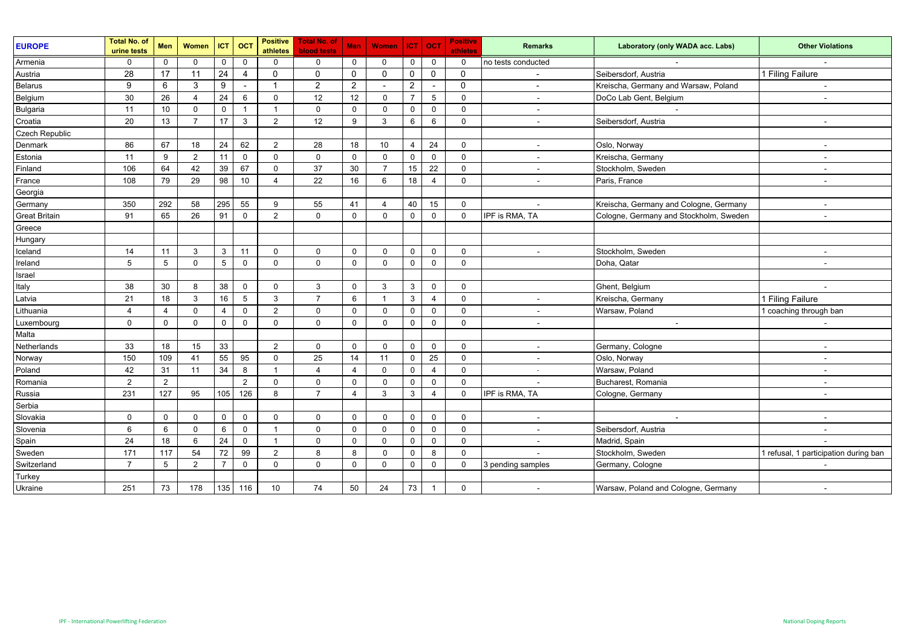| <b>EUROPE</b>        | <b>Total No. of</b><br>urine tests | Men             | Women          | ICT             | OC <sub>1</sub>          | <b>Positive</b><br>athletes | <b>Total No. of</b><br><b>blood tests</b> | Men            | <b>Women</b>   | $ CT $ OCT     |                          | <b>Positive</b><br>athletes | <b>Remarks</b>           | Laboratory (only WADA acc. Labs)       | <b>Other Violations</b>               |
|----------------------|------------------------------------|-----------------|----------------|-----------------|--------------------------|-----------------------------|-------------------------------------------|----------------|----------------|----------------|--------------------------|-----------------------------|--------------------------|----------------------------------------|---------------------------------------|
| Armenia              | $\Omega$                           | $\mathbf 0$     | $\Omega$       | $\mathbf 0$     | $\mathbf 0$              | $\Omega$                    | $\Omega$                                  | $\Omega$       | $\Omega$       | $\mathbf 0$    | $\Omega$                 | $\mathbf 0$                 | no tests conducted       |                                        |                                       |
| Austria              | 28                                 | 17              | 11             | 24              | 4                        | $\mathbf 0$                 | $\mathbf 0$                               | $\mathbf 0$    | $\mathbf 0$    | $\mathbf 0$    | $\mathbf 0$              | $\mathbf 0$                 | $\blacksquare$           | Seibersdorf, Austria                   | 1 Filing Failure                      |
| <b>Belarus</b>       | 9                                  | 6               | 3              | 9               | $\overline{\phantom{a}}$ | $\mathbf{1}$                | $\overline{2}$                            | $\overline{2}$ | $\sim$         | $\overline{2}$ | $\overline{\phantom{a}}$ | $\mathbf 0$                 | $\sim$                   | Kreischa, Germany and Warsaw, Poland   | $\sim$                                |
| Belgium              | 30                                 | 26              | $\overline{4}$ | 24              | 6                        | $\mathbf 0$                 | 12                                        | 12             | $\mathbf 0$    | $\overline{7}$ | 5                        | $\mathbf 0$                 | $\sim$                   | DoCo Lab Gent, Belgium                 | $\sim$                                |
| <b>Bulgaria</b>      | 11                                 | 10              | $\mathbf 0$    | $\mathbf 0$     | $\mathbf{1}$             | $\overline{1}$              | $\mathbf 0$                               | $\mathbf 0$    | $\mathbf 0$    | $\mathbf 0$    | $\mathbf 0$              | $\mathbf 0$                 | $\blacksquare$           |                                        |                                       |
| Croatia              | 20                                 | 13              | $\overline{7}$ | 17              | 3                        | 2                           | 12                                        | 9              | 3              | 6              | 6                        | $\mathbf 0$                 | $\blacksquare$           | Seibersdorf, Austria                   | $\overline{\phantom{a}}$              |
| Czech Republic       |                                    |                 |                |                 |                          |                             |                                           |                |                |                |                          |                             |                          |                                        |                                       |
| Denmark              | 86                                 | 67              | 18             | 24              | 62                       | 2                           | 28                                        | 18             | 10             | 4              | 24                       | $\mathbf 0$                 | $\overline{\phantom{a}}$ | Oslo, Norway                           | $\sim$                                |
| Estonia              | 11                                 | 9               | $\overline{2}$ | 11              | $\mathbf 0$              | $\mathbf 0$                 | $\mathbf 0$                               | $\mathbf 0$    | $\mathbf 0$    | $\mathbf 0$    | $\mathbf 0$              | $\mathbf 0$                 | $\sim$                   | Kreischa, Germany                      | $\sim$                                |
| Finland              | 106                                | 64              | 42             | 39              | 67                       | $\mathbf 0$                 | 37                                        | 30             | $\overline{7}$ | 15             | 22                       | $\mathsf 0$                 | $\blacksquare$           | Stockholm, Sweden                      | $\sim$                                |
| France               | 108                                | 79              | 29             | 98              | 10                       | $\overline{4}$              | 22                                        | 16             | 6              | 18             | $\overline{4}$           | $\mathsf 0$                 | $\blacksquare$           | Paris, France                          | $\blacksquare$                        |
| Georgia              |                                    |                 |                |                 |                          |                             |                                           |                |                |                |                          |                             |                          |                                        |                                       |
| Germany              | 350                                | 292             | 58             | 295             | 55                       | 9                           | 55                                        | 41             | $\overline{4}$ | 40             | 15                       | $\mathbf 0$                 | $\sim$                   | Kreischa, Germany and Cologne, Germany | $\blacksquare$                        |
| <b>Great Britain</b> | 91                                 | 65              | 26             | 91              | $\Omega$                 | 2                           | $\Omega$                                  | $\mathbf 0$    | $\Omega$       | $\mathbf 0$    | $\mathbf 0$              | $\mathbf 0$                 | IPF is RMA, TA           | Cologne, Germany and Stockholm, Sweden | $\blacksquare$                        |
| Greece               |                                    |                 |                |                 |                          |                             |                                           |                |                |                |                          |                             |                          |                                        |                                       |
| Hungary              |                                    |                 |                |                 |                          |                             |                                           |                |                |                |                          |                             |                          |                                        |                                       |
| Iceland              | 14                                 | 11              | 3              | 3               | 11                       | $\mathbf 0$                 | 0                                         | $\mathbf{0}$   | $\Omega$       | 0              | $\mathbf 0$              | $\mathbf 0$                 | $\blacksquare$           | Stockholm, Sweden                      |                                       |
| Ireland              | 5                                  | $5\phantom{.0}$ | $\Omega$       | $5\phantom{.0}$ | $\mathbf 0$              | $\mathbf 0$                 | $\mathbf{0}$                              | $\mathbf{0}$   | $\Omega$       | $\mathbf 0$    | $\mathbf 0$              | $\mathbf 0$                 |                          | Doha, Qatar                            | $\sim$                                |
| Israel               |                                    |                 |                |                 |                          |                             |                                           |                |                |                |                          |                             |                          |                                        |                                       |
| Italy                | 38                                 | 30              | 8              | 38              | $\Omega$                 | $\mathbf 0$                 | 3                                         | $\mathbf 0$    | 3              | 3              | $\mathbf 0$              | $\mathbf 0$                 |                          | Ghent, Belgium                         | $\sim$                                |
| Latvia               | 21                                 | 18              | 3              | 16              | 5                        | $\mathbf{3}$                | $\overline{7}$                            | 6              | $\overline{1}$ | 3              | 4                        | $\mathsf 0$                 | ÷.                       | Kreischa, Germany                      | 1 Filing Failure                      |
| Lithuania            | $\overline{4}$                     | $\overline{4}$  | $\mathbf{0}$   | 4               | $\mathbf 0$              | 2                           | $\Omega$                                  | $\mathbf 0$    | $\mathbf{0}$   | $\mathbf 0$    | $\mathbf 0$              | $\mathbf 0$                 | $\overline{\phantom{a}}$ | Warsaw, Poland                         | 1 coaching through ban                |
| Luxembourg           | $\mathbf 0$                        | $\mathbf 0$     | $\mathbf{0}$   | $\mathbf 0$     | $\mathbf 0$              | $\mathbf 0$                 | $\Omega$                                  | $\mathbf 0$    | $\mathbf{0}$   | $\mathbf 0$    | $\mathbf 0$              | $\mathbf 0$                 | $\sim$                   | $\overline{\phantom{a}}$               |                                       |
| Malta                |                                    |                 |                |                 |                          |                             |                                           |                |                |                |                          |                             |                          |                                        |                                       |
| Netherlands          | 33                                 | 18              | 15             | 33              |                          | 2                           | 0                                         | $\mathbf 0$    | $\mathbf 0$    | $\mathbf 0$    | $\mathbf 0$              | $\mathbf 0$                 | $\blacksquare$           | Germany, Cologne                       |                                       |
| Norway               | 150                                | 109             | 41             | 55              | 95                       | $\mathbf 0$                 | 25                                        | 14             | 11             | $\mathbf 0$    | 25                       | $\mathbf 0$                 | $\sim$                   | Oslo, Norway                           | $\sim$                                |
| Poland               | 42                                 | 31              | 11             | 34              | 8                        | $\overline{1}$              | 4                                         | $\overline{4}$ | $\mathbf 0$    | $\mathbf 0$    | $\overline{4}$           | $\mathbf 0$                 | $\sim$                   | Warsaw, Poland                         | $\sim$                                |
| Romania              | $\overline{2}$                     | $\overline{2}$  |                |                 | $\overline{2}$           | $\mathbf 0$                 | $\Omega$                                  | $\mathbf 0$    | $\mathbf{0}$   | $\mathbf 0$    | $\mathbf 0$              | $\mathbf 0$                 | $\blacksquare$           | Bucharest, Romania                     | $\sim$                                |
| Russia               | 231                                | 127             | 95             | 105             | 126                      | 8                           | $\overline{7}$                            | $\overline{4}$ | 3              | 3              | 4                        | $\mathbf 0$                 | IPF is RMA, TA           | Cologne, Germany                       | $\sim$                                |
| Serbia               |                                    |                 |                |                 |                          |                             |                                           |                |                |                |                          |                             |                          |                                        |                                       |
| Slovakia             | $\Omega$                           | 0               | $\mathbf 0$    | $\mathbf 0$     | $\mathbf 0$              | $\mathbf 0$                 | 0                                         | $\mathbf{0}$   | $\Omega$       | 0              | $\mathbf 0$              | $\mathbf 0$                 | $\blacksquare$           | $\overline{\phantom{a}}$               | $\blacksquare$                        |
| Slovenia             | 6                                  | 6               | $\Omega$       | 6               | $\mathbf 0$              | $\overline{1}$              | $\Omega$                                  | $\mathbf 0$    | $\mathbf 0$    | $\mathbf 0$    | $\mathbf 0$              | $\mathbf 0$                 | $\blacksquare$           | Seibersdorf, Austria                   | $\sim$                                |
| Spain                | 24                                 | 18              | 6              | 24              | $\mathbf 0$              | $\overline{1}$              | 0                                         | 0              | $\mathbf 0$    | $\mathbf 0$    | $\mathbf 0$              | $\mathbf 0$                 | $\overline{\phantom{a}}$ | Madrid, Spain                          |                                       |
| Sweden               | 171                                | 117             | 54             | 72              | 99                       | 2                           | 8                                         | 8              | $\mathbf{0}$   | $\mathbf 0$    | 8                        | $\mathbf 0$                 | $\blacksquare$           | Stockholm, Sweden                      | 1 refusal, 1 participation during ban |
| Switzerland          | $\overline{7}$                     | 5               | $\overline{2}$ | $\overline{7}$  | $\mathbf 0$              | $\mathbf 0$                 | $\mathbf 0$                               | $\mathbf 0$    | $\mathbf 0$    | $\mathbf 0$    | $\mathbf 0$              | $\mathbf 0$                 | 3 pending samples        | Germany, Cologne                       |                                       |
| Turkey               |                                    |                 |                |                 |                          |                             |                                           |                |                |                |                          |                             |                          |                                        |                                       |
| Ukraine              | 251                                | 73              | 178            | 135             | 116                      | 10                          | 74                                        | 50             | 24             | 73             | $\overline{1}$           | $\mathbf 0$                 |                          | Warsaw, Poland and Cologne, Germany    | $\blacksquare$                        |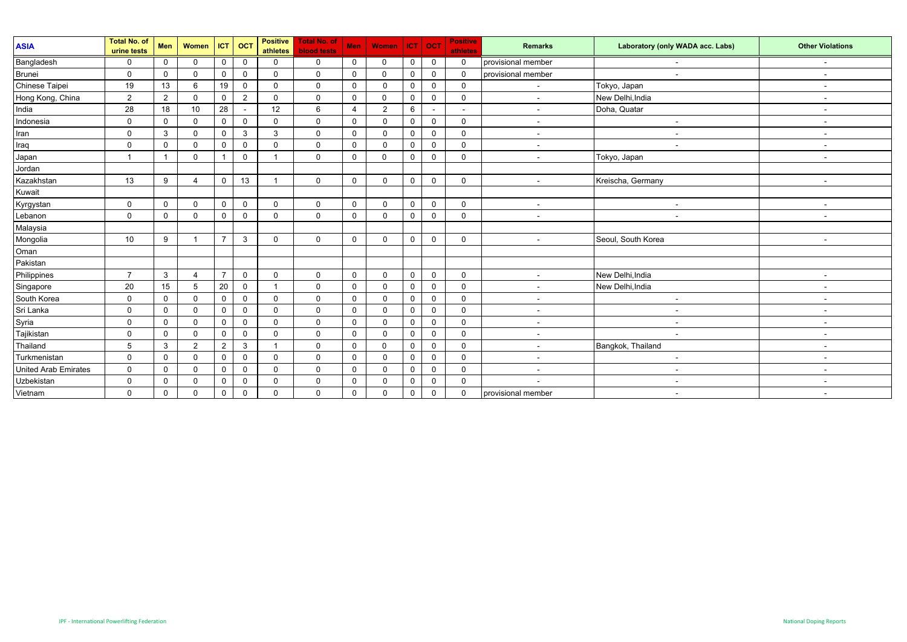| <b>ASIA</b>          | <b>Total No. of</b><br>urine tests | Men         | Women                 | <b>ICT</b>     | <b>OCT</b>     | <b>Positive</b><br>athletes | <b>Total No. of</b><br><b>blood tests</b> | <b>Men</b>  | <b>Women</b>   | <b>ICT</b>   | $ $ OCT        | <b>Positive</b><br>athletes | <b>Remarks</b>           | Laboratory (only WADA acc. Labs) | <b>Other Violations</b>  |
|----------------------|------------------------------------|-------------|-----------------------|----------------|----------------|-----------------------------|-------------------------------------------|-------------|----------------|--------------|----------------|-----------------------------|--------------------------|----------------------------------|--------------------------|
| Bangladesh           | $\mathbf{0}$                       | $\mathbf 0$ | $\Omega$              | 0              | 0              | $\mathbf 0$                 | $\mathbf{0}$                              | $\mathbf 0$ | $\mathbf 0$    | O            | $\mathbf 0$    | $\mathbf 0$                 | provisional member       |                                  |                          |
| Brunei               | $\mathbf 0$                        | $\mathbf 0$ | $\Omega$              | $\mathbf 0$    | $\mathbf 0$    | $\mathbf 0$                 | $\mathbf{0}$                              | $\mathbf 0$ | $\Omega$       | $\mathbf{0}$ | $\Omega$       | $\mathbf 0$                 | provisional member       | $\overline{\phantom{a}}$         | $\sim$                   |
| Chinese Taipei       | 19                                 | 13          | 6                     | 19             | 0              | $\mathbf 0$                 | $\Omega$                                  | $\mathbf 0$ | $\Omega$       | $\mathbf{0}$ | $\Omega$       | $\mathbf 0$                 | $\overline{\phantom{a}}$ | Tokyo, Japan                     | $\sim$                   |
| Hong Kong, China     | 2                                  | 2           | $\mathbf 0$           | 0              | $\overline{2}$ | $\mathbf 0$                 | $\Omega$                                  | $\mathbf 0$ | $\mathbf 0$    | $\Omega$     | $\mathbf 0$    | $\mathbf 0$                 | $\sim$                   | New Delhi, India                 | $\sim$                   |
| India                | 28                                 | 18          | 10                    | 28             | $\sim$         | 12                          | 6                                         | 4           | $\overline{2}$ | 6            | $\blacksquare$ | $\blacksquare$              | $\overline{\phantom{a}}$ | Doha, Quatar                     | $\sim$                   |
| Indonesia            | $\mathbf 0$                        | $\mathbf 0$ | $\mathbf 0$           | $\mathbf 0$    | 0              | $\mathbf 0$                 | $\mathbf{0}$                              | $\mathbf 0$ | 0              | $\Omega$     | $\mathbf 0$    | $\mathbf 0$                 | $\overline{\phantom{a}}$ | $\overline{\phantom{a}}$         | $\overline{\phantom{a}}$ |
| Iran                 | $\Omega$                           | 3           | $\mathbf 0$           | $\mathbf 0$    | 3              | 3                           | $\Omega$                                  | 0           | $\Omega$       | 0            | $\Omega$       | $\mathbf 0$                 | $\overline{\phantom{a}}$ | $\overline{\phantom{a}}$         | $\sim$                   |
| Iraq                 | $\mathbf 0$                        | $\mathbf 0$ | $\Omega$              | $\mathbf 0$    | $\mathbf 0$    | 0                           | $\Omega$                                  | $\mathbf 0$ | $\Omega$       | $\Omega$     | $\Omega$       | $\mathbf 0$                 | $\blacksquare$           | $\overline{\phantom{a}}$         | $\sim$                   |
| Japan                |                                    |             | $\Omega$              |                | 0              | $\overline{1}$              | $\Omega$                                  | $\mathbf 0$ | $\Omega$       | $\Omega$     | $\mathbf 0$    | $\mathbf 0$                 | $\overline{\phantom{a}}$ | Tokyo, Japan                     | $\blacksquare$           |
| Jordan               |                                    |             |                       |                |                |                             |                                           |             |                |              |                |                             |                          |                                  |                          |
| Kazakhstan           | 13                                 | 9           | $\boldsymbol{\Delta}$ | 0              | 13             | -1                          | $\Omega$                                  | $\mathbf 0$ | 0              | $\Omega$     | $\mathbf 0$    | $\mathbf 0$                 | $\overline{\phantom{a}}$ | Kreischa, Germany                | $\overline{\phantom{a}}$ |
| Kuwait               |                                    |             |                       |                |                |                             |                                           |             |                |              |                |                             |                          |                                  |                          |
| Kyrgystan            | $\mathbf 0$                        | $\Omega$    | $\mathbf 0$           | $\mathbf 0$    | $\mathbf 0$    | $\mathbf{0}$                | $\Omega$                                  | $\mathbf 0$ | $\mathbf{0}$   | $\Omega$     | $\Omega$       | $\mathbf 0$                 | $\blacksquare$           | $\overline{\phantom{a}}$         | $\sim$                   |
| Lebanon              | $\mathbf{0}$                       | 0           | $\mathbf 0$           | $\mathbf 0$    | 0              | $\mathbf{0}$                | $\Omega$                                  | 0           | $\Omega$       | 0            | $\Omega$       | $\mathbf 0$                 | $\overline{\phantom{a}}$ | $\overline{\phantom{a}}$         | $\overline{\phantom{a}}$ |
| Malaysia             |                                    |             |                       |                |                |                             |                                           |             |                |              |                |                             |                          |                                  |                          |
| Mongolia<br>Oman     | 10                                 | 9           |                       | $\overline{7}$ | 3              | 0                           | $\Omega$                                  | $\mathbf 0$ | 0              | $\Omega$     | $\mathbf 0$    | $\mathbf 0$                 | $\overline{\phantom{a}}$ | Seoul, South Korea               | $\sim$                   |
|                      |                                    |             |                       |                |                |                             |                                           |             |                |              |                |                             |                          |                                  |                          |
| Pakistan             |                                    |             |                       |                |                |                             |                                           |             |                |              |                |                             |                          |                                  |                          |
| Philippines          | $\overline{7}$                     | 3           | $\overline{4}$        | $\overline{7}$ | $\mathbf 0$    | $\mathbf 0$                 | $\mathbf 0$                               | 0           | $\mathbf 0$    | 0            | $\mathbf 0$    | $\mathbf 0$                 | $\overline{\phantom{a}}$ | New Delhi, India                 |                          |
| Singapore            | 20                                 | 15          | 5                     | 20             | $\mathbf 0$    | 1                           | $\mathbf 0$                               | $\mathbf 0$ | 0              | $\mathbf{0}$ | $\mathbf 0$    | $\mathbf 0$                 | $\overline{\phantom{a}}$ | New Delhi, India                 | $\sim$                   |
| South Korea          | $\mathbf 0$                        | 0           | $\Omega$              | 0              | 0              | 0                           | $\mathbf{0}$                              | 0           | $\mathbf{0}$   | $\Omega$     | $\Omega$       | $\mathbf 0$                 | $\overline{\phantom{a}}$ | $\overline{\phantom{a}}$         | $\sim$                   |
| Sri Lanka            | 0                                  | $\mathbf 0$ | $\Omega$              | $\mathbf 0$    | $\Omega$       | $\mathbf 0$                 | $\mathbf{0}$                              | $\mathbf 0$ | 0              | $\Omega$     | $\Omega$       | $\mathbf 0$                 | $\sim$                   | $\sim$                           | $\sim$                   |
| Syria                | $\Omega$                           | $\Omega$    | $\mathbf 0$           | $\mathbf 0$    | 0              | $\mathbf 0$                 | $\Omega$                                  | $\mathbf 0$ | $\Omega$       | $\Omega$     | $\mathbf 0$    | $\mathbf 0$                 | $\overline{\phantom{a}}$ | $\overline{\phantom{a}}$         | $\sim$                   |
| Tajikistan           | 0                                  | $\mathbf 0$ | $\mathbf 0$           | 0              | 0              | 0                           | 0                                         | 0           | 0              | $\Omega$     | $\Omega$       | $\mathbf 0$                 | $\overline{\phantom{a}}$ | $\overline{\phantom{a}}$         | $\sim$                   |
| Thailand             | 5                                  | 3           | $\overline{2}$        | 2              | 3              | $\overline{1}$              | $\Omega$                                  | $\mathbf 0$ | $\mathbf 0$    | $\mathbf{0}$ | $\Omega$       | $\mathbf 0$                 | $\overline{\phantom{a}}$ | Bangkok, Thailand                | $\sim$                   |
| Turkmenistan         | $\mathbf 0$                        | 0           | $\mathbf 0$           | $\mathbf 0$    | 0              | $\mathbf 0$                 | $\Omega$                                  | $\mathbf 0$ | $\mathbf 0$    | 0            | $\overline{0}$ | $\mathbf 0$                 | $\blacksquare$           | $\overline{\phantom{a}}$         | $\sim$                   |
| United Arab Emirates | $\mathbf 0$                        | $\mathbf 0$ | $\mathbf 0$           | $\mathbf 0$    | $\mathbf{0}$   | $\mathbf 0$                 | $\Omega$                                  | $\mathbf 0$ | 0              | $\Omega$     | $\Omega$       | $\mathbf 0$                 | $\sim$                   | $\sim$                           | $\overline{a}$           |
| Uzbekistan           | $\mathbf 0$                        | $\mathbf 0$ | $\Omega$              | 0              | 0              | $\mathbf 0$                 | $\mathbf{0}$                              | $\mathbf 0$ | 0              | 0            | $\mathbf 0$    | $\mathbf 0$                 | $\overline{\phantom{a}}$ | $\sim$                           | $\sim$                   |
| Vietnam              | $\mathbf 0$                        | $\mathbf 0$ | $\mathbf 0$           | 0              | 0              | $\mathbf 0$                 | 0                                         | $\mathbf 0$ | 0              | 0            | $\mathbf 0$    | $\mathbf 0$                 | provisional member       | $\sim$                           | $\sim$                   |